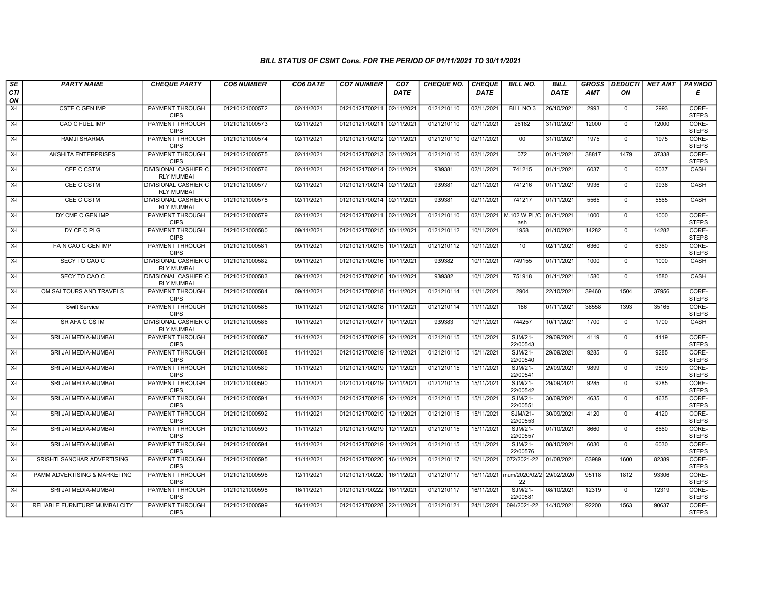## BILL STATUS OF CSMT Cons. FOR THE PERIOD OF 01/11/2021 TO 30/11/2021

| SE        | <b>PARTY NAME</b>              | <b>CHEQUE PARTY</b>                              | <b>CO6 NUMBER</b> | CO6 DATE   | <b>CO7 NUMBER</b>         | CO <sub>7</sub> | <b>CHEQUE NO.</b> | <b>CHEQUE</b> | <b>BILL NO.</b>                | <b>BILL</b> | <b>GROSS</b> |                | DEDUCTI NET AMT   PAYMOD |                       |
|-----------|--------------------------------|--------------------------------------------------|-------------------|------------|---------------------------|-----------------|-------------------|---------------|--------------------------------|-------------|--------------|----------------|--------------------------|-----------------------|
| CTI<br>ON |                                |                                                  |                   |            |                           | <b>DATE</b>     |                   | <b>DATE</b>   |                                | <b>DATE</b> | <b>AMT</b>   | ΟN             |                          | Е                     |
| $X-I$     | <b>CSTE C GEN IMP</b>          | <b>PAYMENT THROUGH</b><br><b>CIPS</b>            | 01210121000572    | 02/11/2021 | 01210121700211 02/11/2021 |                 | 0121210110        | 02/11/2021    | <b>BILL NO 3</b>               | 26/10/2021  | 2993         | $\overline{0}$ | 2993                     | CORE-<br><b>STEPS</b> |
| $X-I$     | CAO C FUEL IMP                 | <b>PAYMENT THROUGH</b><br><b>CIPS</b>            | 01210121000573    | 02/11/2021 | 01210121700211 02/11/2021 |                 | 0121210110        | 02/11/2021    | 26182                          | 31/10/2021  | 12000        | $\mathbf 0$    | 12000                    | CORE-<br><b>STEPS</b> |
| $X-I$     | RAMJI SHARMA                   | PAYMENT THROUGH<br><b>CIPS</b>                   | 01210121000574    | 02/11/2021 | 01210121700212 02/11/2021 |                 | 0121210110        | 02/11/2021    | $00\,$                         | 31/10/2021  | 1975         | $\mathbf 0$    | 1975                     | CORE-<br><b>STEPS</b> |
| $X-I$     | <b>AKSHITA ENTERPRISES</b>     | PAYMENT THROUGH<br><b>CIPS</b>                   | 01210121000575    | 02/11/2021 | 01210121700213 02/11/2021 |                 | 0121210110        | 02/11/2021    | 072                            | 01/11/2021  | 38817        | 1479           | 37338                    | CORE-<br><b>STEPS</b> |
| $X-I$     | CEE C CSTM                     | <b>DIVISIONAL CASHIER C</b><br><b>RLY MUMBAI</b> | 01210121000576    | 02/11/2021 | 01210121700214 02/11/2021 |                 | 939381            | 02/11/2021    | 741215                         | 01/11/2021  | 6037         | $\mathsf{O}$   | 6037                     | CASH                  |
| $X-I$     | CEE C CSTM                     | <b>DIVISIONAL CASHIER C</b><br><b>RLY MUMBAI</b> | 01210121000577    | 02/11/2021 | 01210121700214 02/11/2021 |                 | 939381            | 02/11/2021    | 741216                         | 01/11/2021  | 9936         | $\mathbf 0$    | 9936                     | CASH                  |
| $X-I$     | CEE C CSTM                     | DIVISIONAL CASHIER C<br><b>RLY MUMBAI</b>        | 01210121000578    | 02/11/2021 | 01210121700214 02/11/2021 |                 | 939381            | 02/11/2021    | 741217                         | 01/11/2021  | 5565         | $\mathbf{0}$   | 5565                     | CASH                  |
| $X-I$     | DY CME C GEN IMP               | PAYMENT THROUGH<br><b>CIPS</b>                   | 01210121000579    | 02/11/2021 | 01210121700211            | 02/11/2021      | 0121210110        | 02/11/2021    | M.102.W.PL/C 01/11/2021<br>ash |             | 1000         | $\overline{0}$ | 1000                     | CORE-<br><b>STEPS</b> |
| $X-I$     | DY CE C PLG                    | PAYMENT THROUGH<br><b>CIPS</b>                   | 01210121000580    | 09/11/2021 | 01210121700215 10/11/2021 |                 | 0121210112        | 10/11/2021    | 1958                           | 01/10/2021  | 14282        | $\mathbf 0$    | 14282                    | CORE-<br><b>STEPS</b> |
| $X-I$     | FA N CAO C GEN IMP             | <b>PAYMENT THROUGH</b><br><b>CIPS</b>            | 01210121000581    | 09/11/2021 | 01210121700215 10/11/2021 |                 | 0121210112        | 10/11/2021    | 10                             | 02/11/2021  | 6360         | $\overline{0}$ | 6360                     | CORE-<br><b>STEPS</b> |
| $X-I$     | SECY TO CAO C                  | DIVISIONAL CASHIER C<br><b>RLY MUMBAI</b>        | 01210121000582    | 09/11/2021 | 01210121700216            | 10/11/2021      | 939382            | 10/11/2021    | 749155                         | 01/11/2021  | 1000         | $\mathsf{O}$   | 1000                     | CASH                  |
| $X-I$     | SECY TO CAO C                  | DIVISIONAL CASHIER C<br><b>RLY MUMBAI</b>        | 01210121000583    | 09/11/2021 | 01210121700216            | 10/11/2021      | 939382            | 10/11/2021    | 751918                         | 01/11/2021  | 1580         | $\mathbf 0$    | 1580                     | CASH                  |
| $X-I$     | OM SAI TOURS AND TRAVELS       | PAYMENT THROUGH<br><b>CIPS</b>                   | 01210121000584    | 09/11/2021 | 01210121700218 11/11/2021 |                 | 0121210114        | 11/11/2021    | 2904                           | 22/10/2021  | 39460        | 1504           | 37956                    | CORE-<br><b>STEPS</b> |
| $X-I$     | Swift Service                  | PAYMENT THROUGH<br><b>CIPS</b>                   | 01210121000585    | 10/11/2021 | 01210121700218 11/11/202  |                 | 0121210114        | 11/11/2021    | 186                            | 01/11/2021  | 36558        | 1393           | 35165                    | CORE-<br><b>STEPS</b> |
| $X-I$     | SR AFA C CSTM                  | <b>DIVISIONAL CASHIER C</b><br><b>RLY MUMBAI</b> | 01210121000586    | 10/11/2021 | 01210121700217            | 10/11/2021      | 939383            | 10/11/2021    | 744257                         | 10/11/2021  | 1700         | $\mathbf 0$    | 1700                     | CASH                  |
| $X-I$     | SRI JAI MEDIA-MUMBAI           | PAYMENT THROUGH<br><b>CIPS</b>                   | 01210121000587    | 11/11/2021 | 01210121700219 12/11/2021 |                 | 0121210115        | 15/11/2021    | SJM/21-<br>22/00543            | 29/09/2021  | 4119         | $\mathbf 0$    | 4119                     | CORE-<br><b>STEPS</b> |
| $X-I$     | SRI JAI MEDIA-MUMBAI           | PAYMENT THROUGH<br><b>CIPS</b>                   | 01210121000588    | 11/11/2021 | 01210121700219 12/11/2021 |                 | 0121210115        | 15/11/2021    | SJM/21-<br>22/00540            | 29/09/2021  | 9285         | $\overline{0}$ | 9285                     | CORE-<br><b>STEPS</b> |
| X-I       | SRI JAI MEDIA-MUMBAI           | <b>PAYMENT THROUGH</b><br><b>CIPS</b>            | 01210121000589    | 11/11/2021 | 01210121700219 12/11/2021 |                 | 0121210115        | 15/11/2021    | SJM/21-<br>22/00541            | 29/09/2021  | 9899         | $\mathbf{0}$   | 9899                     | CORE-<br><b>STEPS</b> |
| $X-I$     | SRI JAI MEDIA-MUMBAI           | PAYMENT THROUGH<br><b>CIPS</b>                   | 01210121000590    | 11/11/2021 | 01210121700219 12/11/2021 |                 | 0121210115        | 15/11/2021    | SJM/21-<br>22/00542            | 29/09/2021  | 9285         | $\mathbf 0$    | 9285                     | CORE-<br><b>STEPS</b> |
| $X-I$     | SRI JAI MEDIA-MUMBAI           | PAYMENT THROUGH<br><b>CIPS</b>                   | 01210121000591    | 11/11/2021 | 01210121700219 12/11/2021 |                 | 0121210115        | 15/11/2021    | SJM/21-<br>22/00551            | 30/09/2021  | 4635         | $\overline{0}$ | 4635                     | CORE-<br><b>STEPS</b> |
| $X-I$     | SRI JAI MEDIA-MUMBAI           | PAYMENT THROUGH<br><b>CIPS</b>                   | 01210121000592    | 11/11/2021 | 01210121700219 12/11/2021 |                 | 0121210115        | 15/11/2021    | SJM//21-<br>22/00553           | 30/09/2021  | 4120         | 0              | 4120                     | CORE-<br><b>STEPS</b> |
| $X-I$     | SRI JAI MEDIA-MUMBAI           | <b>PAYMENT THROUGH</b><br><b>CIPS</b>            | 01210121000593    | 11/11/2021 | 01210121700219 12/11/2021 |                 | 0121210115        | 15/11/2021    | SJM/21-<br>22/00557            | 01/10/2021  | 8660         | $\mathbf 0$    | 8660                     | CORE-<br><b>STEPS</b> |
| $X-I$     | SRI JAI MEDIA-MUMBAI           | PAYMENT THROUGH<br><b>CIPS</b>                   | 01210121000594    | 11/11/2021 | 01210121700219 12/11/2021 |                 | 0121210115        | 15/11/2021    | SJM/21-<br>22/00576            | 08/10/2021  | 6030         | $\mathsf{O}$   | 6030                     | CORE-<br><b>STEPS</b> |
| $X-I$     | SRISHTI SANCHAR ADVERTISING    | PAYMENT THROUGH<br><b>CIPS</b>                   | 01210121000595    | 11/11/2021 | 01210121700220            | 16/11/202       | 0121210117        | 16/11/2021    | 072/2021-22                    | 01/08/2021  | 83989        | 1600           | 82389                    | CORE-<br><b>STEPS</b> |
| $X-I$     | PAMM ADVERTISING & MARKETING   | PAYMENT THROUGH<br><b>CIPS</b>                   | 01210121000596    | 12/11/2021 | 01210121700220            | 16/11/2021      | 0121210117        | 16/11/2021    | mum/2020/02/2<br>22            | 29/02/2020  | 95118        | 1812           | 93306                    | CORE-<br><b>STEPS</b> |
| $X-I$     | SRI JAI MEDIA-MUMBAI           | <b>PAYMENT THROUGH</b><br><b>CIPS</b>            | 01210121000598    | 16/11/2021 | 01210121700222            | 16/11/2021      | 0121210117        | 16/11/2021    | SJM/21-<br>22/00581            | 08/10/2021  | 12319        | $\mathsf{O}$   | 12319                    | CORE-<br><b>STEPS</b> |
| X-I       | RELIABLE FURNITURE MUMBAI CITY | <b>PAYMENT THROUGH</b><br><b>CIPS</b>            | 01210121000599    | 16/11/2021 | 01210121700228 22/11/2021 |                 | 0121210121        | 24/11/2021    | 094/2021-22                    | 14/10/2021  | 92200        | 1563           | 90637                    | CORE-<br><b>STEPS</b> |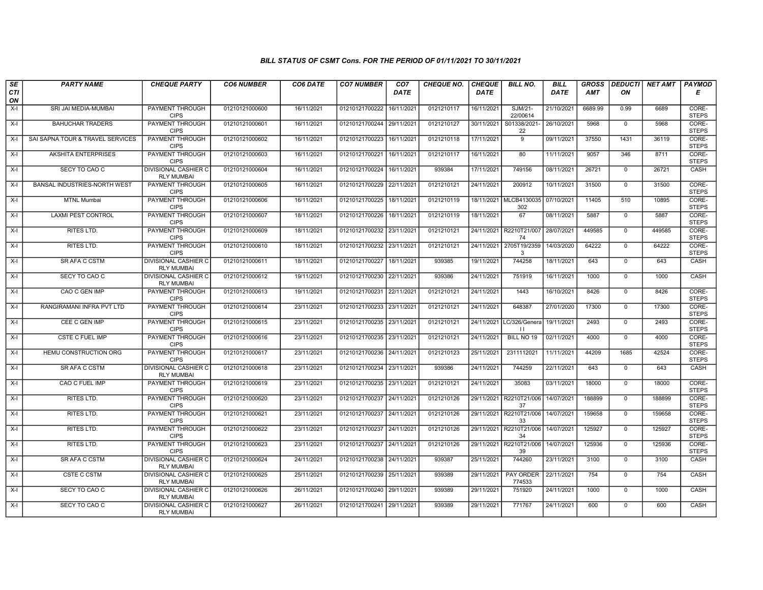## BILL STATUS OF CSMT Cons. FOR THE PERIOD OF 01/11/2021 TO 30/11/2021

| SE        | <b>PARTY NAME</b>                | <b>CHEQUE PARTY</b>                              | <b>CO6 NUMBER</b> | CO6 DATE   | <b>CO7 NUMBER</b>         | CO <sub>7</sub> | <b>CHEQUE NO.</b> | <b>CHEQUE</b> | <b>BILL NO.</b>                          | BILL        | <b>GROSS</b> | <b>DEDUCTI</b> | NET AMT | PAYMOD                |
|-----------|----------------------------------|--------------------------------------------------|-------------------|------------|---------------------------|-----------------|-------------------|---------------|------------------------------------------|-------------|--------------|----------------|---------|-----------------------|
| CTI<br>ON |                                  |                                                  |                   |            |                           | <b>DATE</b>     |                   | <b>DATE</b>   |                                          | <b>DATE</b> | <b>AMT</b>   | ON             |         | Е                     |
| $X-I$     | SRI JAI MEDIA-MUMBAI             | <b>PAYMENT THROUGH</b><br><b>CIPS</b>            | 01210121000600    | 16/11/2021 | 01210121700222 16/11/2021 |                 | 0121210117        | 16/11/2021    | SJM/21-<br>22/00614                      | 21/10/2021  | 6689.99      | 0.99           | 6689    | CORE-<br><b>STEPS</b> |
| $X-I$     | <b>BAHUCHAR TRADERS</b>          | <b>PAYMENT THROUGH</b><br><b>CIPS</b>            | 01210121000601    | 16/11/2021 | 01210121700244 29/11/2021 |                 | 0121210127        | 30/11/2021    | S01338/2021-<br>22                       | 26/10/2021  | 5968         | $\mathbf 0$    | 5968    | CORE-<br><b>STEPS</b> |
| $X-I$     | SAI SAPNA TOUR & TRAVEL SERVICES | PAYMENT THROUGH<br><b>CIPS</b>                   | 01210121000602    | 16/11/2021 | 01210121700223 16/11/2021 |                 | 0121210118        | 17/11/2021    | $\overline{9}$                           | 09/11/2021  | 37550        | 1431           | 36119   | CORE-<br><b>STEPS</b> |
| $X-I$     | <b>AKSHITA ENTERPRISES</b>       | PAYMENT THROUGH<br><b>CIPS</b>                   | 01210121000603    | 16/11/2021 | 01210121700221            | 16/11/2021      | 0121210117        | 16/11/2021    | 80                                       | 11/11/2021  | 9057         | 346            | 8711    | CORE-<br><b>STEPS</b> |
| $X-I$     | SECY TO CAO C                    | <b>DIVISIONAL CASHIER C</b><br><b>RLY MUMBAI</b> | 01210121000604    | 16/11/2021 | 01210121700224 16/11/2021 |                 | 939384            | 17/11/2021    | 749156                                   | 08/11/2021  | 26721        | $\overline{0}$ | 26721   | CASH                  |
| $X-I$     | BANSAL INDUSTRIES-NORTH WEST     | <b>PAYMENT THROUGH</b><br><b>CIPS</b>            | 01210121000605    | 16/11/2021 | 01210121700229 22/11/2021 |                 | 0121210121        | 24/11/2021    | 200912                                   | 10/11/2021  | 31500        | $\mathbf 0$    | 31500   | CORE-<br><b>STEPS</b> |
| $X-I$     | <b>MTNL Mumbai</b>               | PAYMENT THROUGH<br><b>CIPS</b>                   | 01210121000606    | 16/11/2021 | 01210121700225 18/11/2021 |                 | 0121210119        | 18/11/2021    | MLCB4130035<br>302                       | 07/10/2021  | 11405        | 510            | 10895   | CORE-<br><b>STEPS</b> |
| $X-I$     | <b>LAXMI PEST CONTROL</b>        | <b>PAYMENT THROUGH</b><br><b>CIPS</b>            | 01210121000607    | 18/11/2021 | 01210121700226 18/11/2021 |                 | 0121210119        | 18/11/2021    | 67                                       | 08/11/2021  | 5887         | $\mathbf 0$    | 5887    | CORE-<br><b>STEPS</b> |
| $X-I$     | <b>RITES LTD.</b>                | PAYMENT THROUGH<br><b>CIPS</b>                   | 01210121000609    | 18/11/2021 | 01210121700232 23/11/2021 |                 | 0121210121        |               | 24/11/2021 R2210T21/007<br>74            | 28/07/2021  | 449585       | $\overline{0}$ | 449585  | CORE-<br><b>STEPS</b> |
| $X-I$     | RITES LTD.                       | <b>PAYMENT THROUGH</b><br><b>CIPS</b>            | 01210121000610    | 18/11/2021 | 01210121700232 23/11/2021 |                 | 0121210121        |               | 24/11/2021 2705T19/2359<br>3             | 14/03/2020  | 64222        | $\mathbf 0$    | 64222   | CORE-<br><b>STEPS</b> |
| X-I       | SR AFA C CSTM                    | <b>DIVISIONAL CASHIER C</b><br><b>RLY MUMBAI</b> | 01210121000611    | 18/11/2021 | 01210121700227            | 18/11/2021      | 939385            | 19/11/2021    | 744258                                   | 18/11/2021  | 643          | $\mathbf 0$    | 643     | CASH                  |
| $X-I$     | SECY TO CAO C                    | DIVISIONAL CASHIER C<br><b>RLY MUMBAI</b>        | 01210121000612    | 19/11/2021 | 01210121700230 22/11/2021 |                 | 939386            | 24/11/2021    | 751919                                   | 16/11/2021  | 1000         | $\mathbf 0$    | 1000    | CASH                  |
| $X-I$     | CAO C GEN IMP                    | PAYMENT THROUGH<br><b>CIPS</b>                   | 01210121000613    | 19/11/2021 | 01210121700231 22/11/2021 |                 | 0121210121        | 24/11/2021    | 1443                                     | 16/10/2021  | 8426         | $\mathbf 0$    | 8426    | CORE-<br><b>STEPS</b> |
| $X-I$     | RANGIRAMANI INFRA PVT LTD        | <b>PAYMENT THROUGH</b><br><b>CIPS</b>            | 01210121000614    | 23/11/2021 | 01210121700233 23/11/2021 |                 | 0121210121        | 24/11/2021    | 648387                                   | 27/01/2020  | 17300        | $\mathbf 0$    | 17300   | CORE-<br><b>STEPS</b> |
| $X-I$     | CEE C GEN IMP                    | PAYMENT THROUGH<br><b>CIPS</b>                   | 01210121000615    | 23/11/2021 | 01210121700235 23/11/2021 |                 | 0121210121        |               | 24/11/2021 LC/326/Genera<br>$\mathbf{1}$ | 19/11/2021  | 2493         | $\Omega$       | 2493    | CORE-<br><b>STEPS</b> |
| $X-I$     | CSTE C FUEL IMP                  | PAYMENT THROUGH<br><b>CIPS</b>                   | 01210121000616    | 23/11/2021 | 01210121700235 23/11/2021 |                 | 0121210121        | 24/11/2021    | BILL NO 19                               | 02/11/2021  | 4000         | $\mathbf 0$    | 4000    | CORE-<br><b>STEPS</b> |
| $X-I$     | HEMU CONSTRUCTION ORG            | PAYMENT THROUGH<br><b>CIPS</b>                   | 01210121000617    | 23/11/2021 | 01210121700236 24/11/2021 |                 | 0121210123        | 25/11/2021    | 2311112021                               | 11/11/2021  | 44209        | 1685           | 42524   | CORE-<br><b>STEPS</b> |
| $X-I$     | SR AFA C CSTM                    | <b>DIVISIONAL CASHIER C</b><br><b>RLY MUMBAI</b> | 01210121000618    | 23/11/2021 | 01210121700234 23/11/2021 |                 | 939386            | 24/11/2021    | 744259                                   | 22/11/2021  | 643          | $\mathbf 0$    | 643     | CASH                  |
| $X-I$     | CAO C FUEL IMP                   | PAYMENT THROUGH<br><b>CIPS</b>                   | 01210121000619    | 23/11/2021 | 01210121700235 23/11/2021 |                 | 0121210121        | 24/11/2021    | 35083                                    | 03/11/2021  | 18000        | $\mathbf 0$    | 18000   | CORE-<br><b>STEPS</b> |
| $X-I$     | RITES LTD.                       | PAYMENT THROUGH<br><b>CIPS</b>                   | 01210121000620    | 23/11/2021 | 01210121700237 24/11/2021 |                 | 0121210126        | 29/11/2021    | R2210T21/006<br>37                       | 14/07/2021  | 188899       | $\mathbf 0$    | 188899  | CORE-<br><b>STEPS</b> |
| $X-I$     | <b>RITES LTD.</b>                | <b>PAYMENT THROUGH</b><br><b>CIPS</b>            | 01210121000621    | 23/11/2021 | 01210121700237 24/11/2021 |                 | 0121210126        |               | 29/11/2021 R2210T21/006<br>33            | 14/07/2021  | 159658       | $\mathbf 0$    | 159658  | CORE-<br><b>STEPS</b> |
| X-I       | <b>RITES LTD.</b>                | PAYMENT THROUGH<br><b>CIPS</b>                   | 01210121000622    | 23/11/2021 | 01210121700237 24/11/2021 |                 | 0121210126        |               | 29/11/2021 R2210T21/006<br>34            | 14/07/2021  | 125927       | $\mathbf{0}$   | 125927  | CORE-<br><b>STEPS</b> |
| $X-I$     | RITES LTD.                       | PAYMENT THROUGH<br><b>CIPS</b>                   | 01210121000623    | 23/11/2021 | 01210121700237 24/11/2021 |                 | 0121210126        | 29/11/2021    | R2210T21/006<br>39                       | 14/07/2021  | 125936       | $\mathbf 0$    | 125936  | CORE-<br><b>STEPS</b> |
| $X-I$     | SR AFA C CSTM                    | DIVISIONAL CASHIER C<br><b>RLY MUMBAI</b>        | 01210121000624    | 24/11/2021 | 01210121700238 24/11/2021 |                 | 939387            | 25/11/2021    | 744260                                   | 23/11/2021  | 3100         | $\mathbf 0$    | 3100    | CASH                  |
| $X-I$     | <b>CSTE C CSTM</b>               | DIVISIONAL CASHIER C<br><b>RLY MUMBAI</b>        | 01210121000625    | 25/11/2021 | 01210121700239 25/11/2021 |                 | 939389            | 29/11/2021    | PAY ORDER<br>774533                      | 22/11/2021  | 754          | $\Omega$       | 754     | CASH                  |
| $X-I$     | SECY TO CAO C                    | <b>DIVISIONAL CASHIER C</b><br><b>RLY MUMBAI</b> | 01210121000626    | 26/11/2021 | 01210121700240 29/11/2021 |                 | 939389            | 29/11/2021    | 751920                                   | 24/11/2021  | 1000         | $\mathsf{O}$   | 1000    | CASH                  |
| $X-I$     | SECY TO CAO C                    | DIVISIONAL CASHIER C<br><b>RLY MUMBAI</b>        | 01210121000627    | 26/11/2021 | 01210121700241 29/11/2021 |                 | 939389            | 29/11/2021    | 771767                                   | 24/11/2021  | 600          | $\mathbf 0$    | 600     | CASH                  |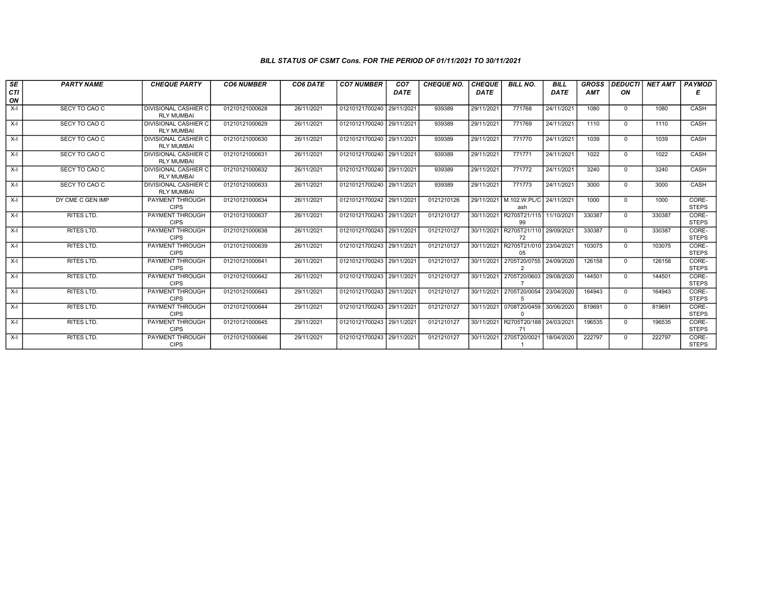## BILL STATUS OF CSMT Cons. FOR THE PERIOD OF 01/11/2021 TO 30/11/2021

| SE<br><b>CTI</b><br>ON | <b>PARTY NAME</b> | <b>CHEQUE PARTY</b>                              | <b>CO6 NUMBER</b> | CO6 DATE   | <b>CO7 NUMBER</b>         | CO <sub>7</sub><br><b>DATE</b> | <b>CHEQUE NO.</b> | <b>CHEQUE</b><br>DATE | <b>BILL NO.</b>                | <b>BILL</b><br>DATE | <b>GROSS</b><br><b>AMT</b> | <b>DEDUCTI</b><br>ON | <b>NET AMT</b> | <b>PAYMOD</b><br>Е    |
|------------------------|-------------------|--------------------------------------------------|-------------------|------------|---------------------------|--------------------------------|-------------------|-----------------------|--------------------------------|---------------------|----------------------------|----------------------|----------------|-----------------------|
| $X-I$                  | SECY TO CAO C     | <b>DIVISIONAL CASHIER C</b><br><b>RLY MUMBAI</b> | 01210121000628    | 26/11/2021 | 01210121700240 29/11/2021 |                                | 939389            | 29/11/2021            | 771768                         | 24/11/2021          | 1080                       | $\mathbf{0}$         | 1080           | CASH                  |
| $X-I$                  | SECY TO CAO C     | <b>DIVISIONAL CASHIER C</b><br><b>RLY MUMBAI</b> | 01210121000629    | 26/11/2021 | 01210121700240 29/11/2021 |                                | 939389            | 29/11/2021            | 771769                         | 24/11/2021          | 1110                       | $\mathbf{0}$         | 1110           | CASH                  |
| $X-I$                  | SECY TO CAO C     | <b>DIVISIONAL CASHIER C</b><br><b>RLY MUMBAI</b> | 01210121000630    | 26/11/2021 | 01210121700240            | 29/11/2021                     | 939389            | 29/11/2021            | 771770                         | 24/11/2021          | 1039                       | $\Omega$             | 1039           | CASH                  |
| $X-I$                  | SECY TO CAO C     | <b>DIVISIONAL CASHIER C</b><br><b>RLY MUMBAI</b> | 01210121000631    | 26/11/2021 | 01210121700240            | 29/11/2021                     | 939389            | 29/11/2021            | 771771                         | 24/11/2021          | 1022                       | $\Omega$             | 1022           | CASH                  |
| $X-I$                  | SECY TO CAO C     | <b>DIVISIONAL CASHIER C</b><br><b>RLY MUMBAI</b> | 01210121000632    | 26/11/2021 | 01210121700240            | 29/11/2021                     | 939389            | 29/11/2021            | 771772                         | 24/11/2021          | 3240                       | $\mathbf{0}$         | 3240           | CASH                  |
| $X-I$                  | SECY TO CAO C     | <b>DIVISIONAL CASHIER C</b><br><b>RLY MUMBAI</b> | 01210121000633    | 26/11/2021 | 01210121700240 29/11/2021 |                                | 939389            | 29/11/2021            | 771773                         | 24/11/2021          | 3000                       | $\Omega$             | 3000           | CASH                  |
| $X-I$                  | DY CME C GEN IMP  | PAYMENT THROUGH<br><b>CIPS</b>                   | 01210121000634    | 26/11/2021 | 01210121700242 29/11/202  |                                | 0121210126        | 29/11/2021            | M.102.W.PL/C<br>ash            | 24/11/2021          | 1000                       | $\Omega$             | 1000           | CORE-<br><b>STEPS</b> |
| $X-I$                  | RITES LTD.        | PAYMENT THROUGH<br><b>CIPS</b>                   | 01210121000637    | 26/11/2021 | 01210121700243 29/11/2021 |                                | 0121210127        | 30/11/2021            | R2705T21/115<br>99             | 11/10/2021          | 330387                     | $\Omega$             | 330387         | CORE-<br><b>STEPS</b> |
| $X-I$                  | <b>RITES LTD.</b> | <b>PAYMENT THROUGH</b><br><b>CIPS</b>            | 01210121000638    | 26/11/2021 | 01210121700243 29/11/2021 |                                | 0121210127        | 30/11/2021            | R2705T21/110<br>72             | 29/09/2021          | 330387                     | $\Omega$             | 330387         | CORE-<br><b>STEPS</b> |
| $X-I$                  | <b>RITES LTD.</b> | <b>PAYMENT THROUGH</b><br><b>CIPS</b>            | 01210121000639    | 26/11/2021 | 01210121700243 29/11/2021 |                                | 0121210127        |                       | 30/11/2021 R2705T21/010<br>05  | 23/04/2021          | 103075                     | $\Omega$             | 103075         | CORE-<br><b>STEPS</b> |
| $X-I$                  | RITES LTD.        | PAYMENT THROUGH<br><b>CIPS</b>                   | 01210121000641    | 26/11/2021 | 01210121700243 29/11/2021 |                                | 0121210127        | 30/11/2021            | 2705T20/0755<br>$\overline{2}$ | 24/09/2020          | 126158                     | $\Omega$             | 126158         | CORE-<br><b>STEPS</b> |
| $X-I$                  | RITES LTD.        | PAYMENT THROUGH<br><b>CIPS</b>                   | 01210121000642    | 26/11/2021 | 01210121700243            | 29/11/2021                     | 0121210127        | 30/11/2021            | 2705T20/0603                   | 29/08/2020          | 144501                     | $\Omega$             | 144501         | CORE-<br><b>STEPS</b> |
| $X-I$                  | <b>RITES LTD.</b> | PAYMENT THROUGH<br><b>CIPS</b>                   | 01210121000643    | 29/11/2021 | 01210121700243 29/11/2021 |                                | 0121210127        | 30/11/2021            | 2705T20/0054<br>5              | 23/04/2020          | 164943                     | $\Omega$             | 164943         | CORE-<br><b>STEPS</b> |
| $X-I$                  | <b>RITES LTD.</b> | <b>PAYMENT THROUGH</b><br><b>CIPS</b>            | 01210121000644    | 29/11/2021 | 01210121700243 29/11/2021 |                                | 0121210127        | 30/11/2021            | 0708T20/0459<br>$\Omega$       | 30/06/2020          | 819691                     | $\Omega$             | 819691         | CORE-<br><b>STEPS</b> |
| $X-I$                  | RITES LTD.        | PAYMENT THROUGH<br><b>CIPS</b>                   | 01210121000645    | 29/11/2021 | 01210121700243 29/11/2021 |                                | 0121210127        | 30/11/2021            | R2705T20/188<br>71             | 24/03/2021          | 196535                     | $^{\circ}$           | 196535         | CORE-<br><b>STEPS</b> |
| $X-I$                  | RITES LTD.        | <b>PAYMENT THROUGH</b><br><b>CIPS</b>            | 01210121000646    | 29/11/2021 | 01210121700243 29/11/2021 |                                | 0121210127        | 30/11/2021            | 2705T20/0021                   | 18/04/2020          | 222797                     | $\Omega$             | 222797         | CORE-<br><b>STEPS</b> |